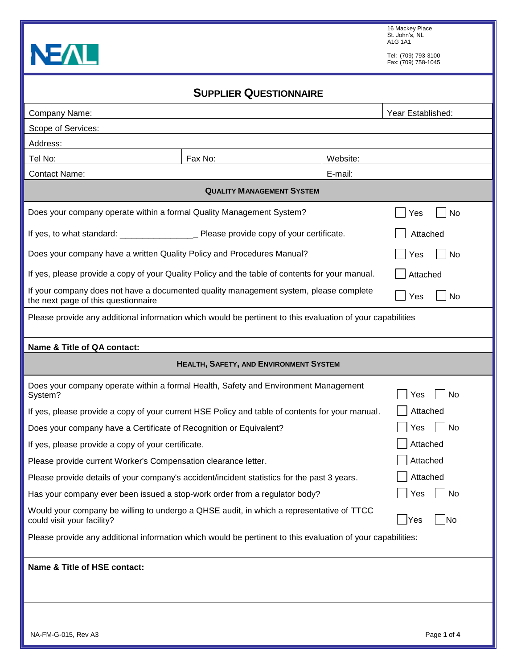

16 Mackey Place St. John's, NL A1G 1A1

Tel: (709) 793-3100 Fax: (709) 758-1045

|                                                                                                                              | <b>SUPPLIER QUESTIONNAIRE</b>                                                       |         |                                    |
|------------------------------------------------------------------------------------------------------------------------------|-------------------------------------------------------------------------------------|---------|------------------------------------|
| Company Name:                                                                                                                |                                                                                     |         | Year Established:                  |
| Scope of Services:                                                                                                           |                                                                                     |         |                                    |
| Address:                                                                                                                     |                                                                                     |         |                                    |
| Tel No:                                                                                                                      |                                                                                     |         |                                    |
| <b>Contact Name:</b>                                                                                                         |                                                                                     | E-mail: |                                    |
|                                                                                                                              | <b>QUALITY MANAGEMENT SYSTEM</b>                                                    |         |                                    |
| Does your company operate within a formal Quality Management System?                                                         |                                                                                     |         | Yes<br>No                          |
|                                                                                                                              |                                                                                     |         | Attached                           |
| Does your company have a written Quality Policy and Procedures Manual?                                                       |                                                                                     |         | No<br>Yes                          |
| If yes, please provide a copy of your Quality Policy and the table of contents for your manual.                              |                                                                                     |         | Attached                           |
| If your company does not have a documented quality management system, please complete<br>the next page of this questionnaire |                                                                                     |         | Yes<br>No                          |
| Please provide any additional information which would be pertinent to this evaluation of your capabilities                   |                                                                                     |         |                                    |
| Name & Title of QA contact:                                                                                                  |                                                                                     |         |                                    |
|                                                                                                                              | <b>HEALTH, SAFETY, AND ENVIRONMENT SYSTEM</b>                                       |         |                                    |
|                                                                                                                              |                                                                                     |         |                                    |
| System?                                                                                                                      | Does your company operate within a formal Health, Safety and Environment Management |         | No<br>Yes                          |
| If yes, please provide a copy of your current HSE Policy and table of contents for your manual.                              |                                                                                     |         | Attached                           |
| Does your company have a Certificate of Recognition or Equivalent?                                                           |                                                                                     |         | No<br>Yes                          |
| If yes, please provide a copy of your certificate.                                                                           |                                                                                     |         | Attached                           |
| Please provide current Worker's Compensation clearance letter.                                                               |                                                                                     |         | Attached                           |
| Please provide details of your company's accident/incident statistics for the past 3 years.                                  |                                                                                     |         | Attached                           |
| Has your company ever been issued a stop-work order from a regulator body?                                                   |                                                                                     |         | No<br>Yes                          |
| Would your company be willing to undergo a QHSE audit, in which a representative of TTCC<br>could visit your facility?       |                                                                                     |         | Yes<br>$\overline{\phantom{a}}$ No |
| Please provide any additional information which would be pertinent to this evaluation of your capabilities:                  |                                                                                     |         |                                    |
| Name & Title of HSE contact:                                                                                                 |                                                                                     |         |                                    |
|                                                                                                                              |                                                                                     |         |                                    |
|                                                                                                                              |                                                                                     |         |                                    |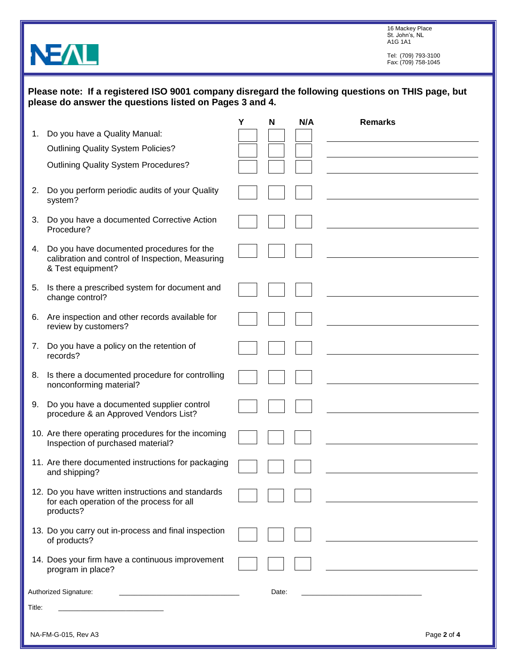16 Mackey Place St. John's, NL A1G 1A1

Tel: (709) 793-3100 Fax: (709) 758-1045

| Please note: If a registered ISO 9001 company disregard the following questions on THIS page, but |
|---------------------------------------------------------------------------------------------------|
| please do answer the questions listed on Pages 3 and 4.                                           |

**NEAL** 

|        |                                                                                                                       | Υ | N     | N/A | <b>Remarks</b> |
|--------|-----------------------------------------------------------------------------------------------------------------------|---|-------|-----|----------------|
| 1.     | Do you have a Quality Manual:                                                                                         |   |       |     |                |
|        | <b>Outlining Quality System Policies?</b>                                                                             |   |       |     |                |
|        | <b>Outlining Quality System Procedures?</b>                                                                           |   |       |     |                |
| 2.     | Do you perform periodic audits of your Quality<br>system?                                                             |   |       |     |                |
| 3.     | Do you have a documented Corrective Action<br>Procedure?                                                              |   |       |     |                |
|        | 4. Do you have documented procedures for the<br>calibration and control of Inspection, Measuring<br>& Test equipment? |   |       |     |                |
|        | 5. Is there a prescribed system for document and<br>change control?                                                   |   |       |     |                |
|        | 6. Are inspection and other records available for<br>review by customers?                                             |   |       |     |                |
| 7.     | Do you have a policy on the retention of<br>records?                                                                  |   |       |     |                |
| 8.     | Is there a documented procedure for controlling<br>nonconforming material?                                            |   |       |     |                |
| 9.     | Do you have a documented supplier control<br>procedure & an Approved Vendors List?                                    |   |       |     |                |
|        | 10. Are there operating procedures for the incoming<br>Inspection of purchased material?                              |   |       |     |                |
|        | 11. Are there documented instructions for packaging<br>and shipping?                                                  |   |       |     |                |
|        | 12. Do you have written instructions and standards<br>for each operation of the process for all<br>products?          |   |       |     |                |
|        | 13. Do you carry out in-process and final inspection<br>of products?                                                  |   |       |     |                |
|        | 14. Does your firm have a continuous improvement<br>program in place?                                                 |   |       |     |                |
|        | Authorized Signature:<br>the control of the control of the control of the control of the control of                   |   | Date: |     |                |
| Title: |                                                                                                                       |   |       |     |                |
|        |                                                                                                                       |   |       |     |                |
|        | NA-FM-G-015, Rev A3                                                                                                   |   |       |     | Page 2 of 4    |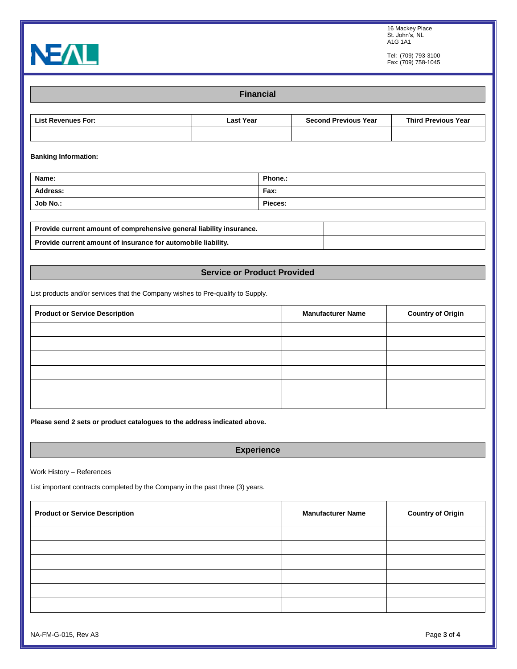

Tel: (709) 793-3100 Fax: (709) 758-1045



**Financial List Revenues For: Last Year Second Previous Year Third Previous Year Banking Information:** Name: **Phone.: Phone.: Phone.:** Address: Fax: **Fax:** Fax: **Fax:** Fax: **Fax:** Fax: **Fax:** Fax: **Fax:** Fax: **Fax:** Fax: **Fax:** Fax: **Fax:** Fax: **Fax:** Fax: **Fax:** Fax: **Fax:** Fax: **Fax:** Fax: **Fax:** Fax: **Fax:** Fax: **Fax:** Fax: **Fax:** Fax: **Fax:** Fax: **Fax Job No.: Pieces: Provide current amount of comprehensive general liability insurance. Provide current amount of insurance for automobile liability. Service or Product Provided**

List products and/or services that the Company wishes to Pre-qualify to Supply.

| <b>Product or Service Description</b> | <b>Manufacturer Name</b> | <b>Country of Origin</b> |
|---------------------------------------|--------------------------|--------------------------|
|                                       |                          |                          |
|                                       |                          |                          |
|                                       |                          |                          |
|                                       |                          |                          |
|                                       |                          |                          |
|                                       |                          |                          |

**Please send 2 sets or product catalogues to the address indicated above.**

**Experience**

Work History – References

List important contracts completed by the Company in the past three (3) years.

| <b>Product or Service Description</b> | <b>Manufacturer Name</b> | <b>Country of Origin</b> |
|---------------------------------------|--------------------------|--------------------------|
|                                       |                          |                          |
|                                       |                          |                          |
|                                       |                          |                          |
|                                       |                          |                          |
|                                       |                          |                          |
|                                       |                          |                          |